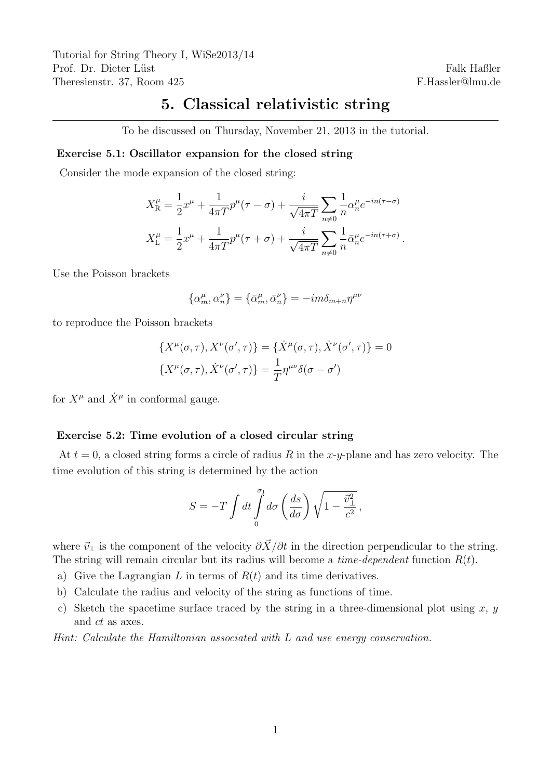Tutorial for String Theory I, WiSe2013/14 Prof. Dr. Dieter Lüst Theresienstr. 37, Room 425

Falk Haßler F.Hassler@lmu.de

## 5. Classical relativistic string

To be discussed on Thursday, November 21, 2013 in the tutorial.

## Exercise 5.1: Oscillator expansion for the closed string

Consider the mode expansion of the closed string:

$$
X_{\rm R}^{\mu} = \frac{1}{2}x^{\mu} + \frac{1}{4\pi T}p^{\mu}(\tau - \sigma) + \frac{i}{\sqrt{4\pi T}}\sum_{n \neq 0} \frac{1}{n} \alpha_{n}^{\mu} e^{-in(\tau - \sigma)}
$$
  

$$
X_{\rm L}^{\mu} = \frac{1}{2}x^{\mu} + \frac{1}{4\pi T}p^{\mu}(\tau + \sigma) + \frac{i}{\sqrt{4\pi T}}\sum_{n \neq 0} \frac{1}{n} \bar{\alpha}_{n}^{\mu} e^{-in(\tau + \sigma)}.
$$

Use the Poisson brackets

$$
\{\alpha_m^\mu,\alpha_n^\nu\}=\{\bar\alpha_m^\mu,\bar\alpha_n^\nu\}=-im\delta_{m+n}\eta^{\mu\nu}
$$

to reproduce the Poisson brackets

$$
\{X^{\mu}(\sigma,\tau), X^{\nu}(\sigma',\tau)\} = \{\dot{X}^{\mu}(\sigma,\tau), \dot{X}^{\nu}(\sigma',\tau)\} = 0
$$

$$
\{X^{\mu}(\sigma,\tau), \dot{X}^{\nu}(\sigma',\tau)\} = \frac{1}{T}\eta^{\mu\nu}\delta(\sigma-\sigma')
$$

for  $X^{\mu}$  and  $\dot{X}^{\mu}$  in conformal gauge.

## Exercise 5.2: Time evolution of a closed circular string

At  $t = 0$ , a closed string forms a circle of radius R in the x-y-plane and has zero velocity. The time evolution of this string is determined by the action

$$
S = -T \int dt \int_{0}^{\sigma_1} d\sigma \left(\frac{ds}{d\sigma}\right) \sqrt{1 - \frac{\vec{v}_{\perp}^2}{c^2}},
$$

where  $\vec{v}_\perp$  is the component of the velocity  $\partial \vec{X}/\partial t$  in the direction perpendicular to the string. The string will remain circular but its radius will become a *time-dependent* function  $R(t)$ .

- a) Give the Lagrangian L in terms of  $R(t)$  and its time derivatives.
- b) Calculate the radius and velocity of the string as functions of time.
- c) Sketch the spacetime surface traced by the string in a three-dimensional plot using  $x, y$ and ct as axes.

Hint: Calculate the Hamiltonian associated with L and use energy conservation.